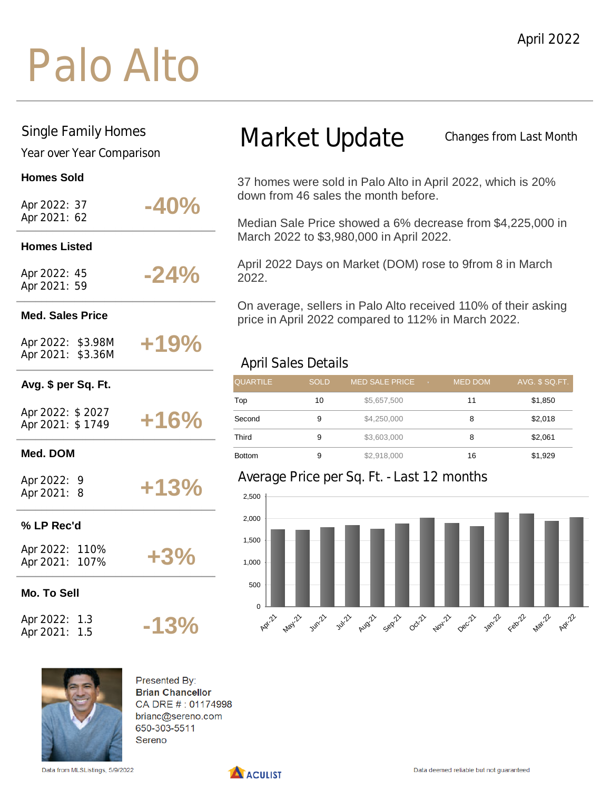## Palo Alto

#### Single Family Homes

Year over Year Comparison

#### **Homes Sold**

| Apr 2022: 37 |  |
|--------------|--|
| Apr 2021: 62 |  |

## **-40% Homes Listed**

Apr 2022: 45 Apr 2021: 59

### **-24%**

**+19%**

**+13%**

**+3%**

**-13%**

#### **Med. Sales Price**

Apr 2022: \$3.98M Apr 2021: \$3.36M

#### **Avg. \$ per Sq. Ft.**

| Apr 2022: \$2027 |  |        |
|------------------|--|--------|
| Apr 2021: \$1749 |  | $+16%$ |

#### **Med. DOM**

Apr 2022: 9 Apr 2021: 8

#### **% LP Rec'd**

| Apr 2022: | 110% |
|-----------|------|
| Apr 2021: | 107% |

**Mo. To Sell**

Apr 2022: 1.3 Apr 2021: 1.5

# Sereno

Presented By: **Brian Chancellor** CA DRE #: 01174998 brianc@sereno.com 650-303-5511

Data from MLSListings, 5/9/2022

## Market Update

Changes from Last Month

37 homes were sold in Palo Alto in April 2022, which is 20% down from 46 sales the month before.

Median Sale Price showed a 6% decrease from \$4,225,000 in March 2022 to \$3,980,000 in April 2022.

April 2022 Days on Market (DOM) rose to 9from 8 in March 2022.

On average, sellers in Palo Alto received 110% of their asking price in April 2022 compared to 112% in March 2022.

#### April Sales Details

| <b>QUARTILE</b> | <b>SOLD</b> | <b>MED SALE PRICE</b> | <b>TOP</b> | <b>MED DOM</b> | AVG. \$ SQ.FT. |
|-----------------|-------------|-----------------------|------------|----------------|----------------|
| Top             | 10          | \$5,657,500           |            | 11             | \$1,850        |
| Second          | 9           | \$4,250,000           |            | 8              | \$2,018        |
| Third           | 9           | \$3,603,000           |            | 8              | \$2,061        |
| <b>Bottom</b>   | 9           | \$2,918,000           |            | 16             | \$1,929        |

#### Average Price per Sq. Ft. - Last 12 months



A ACULIST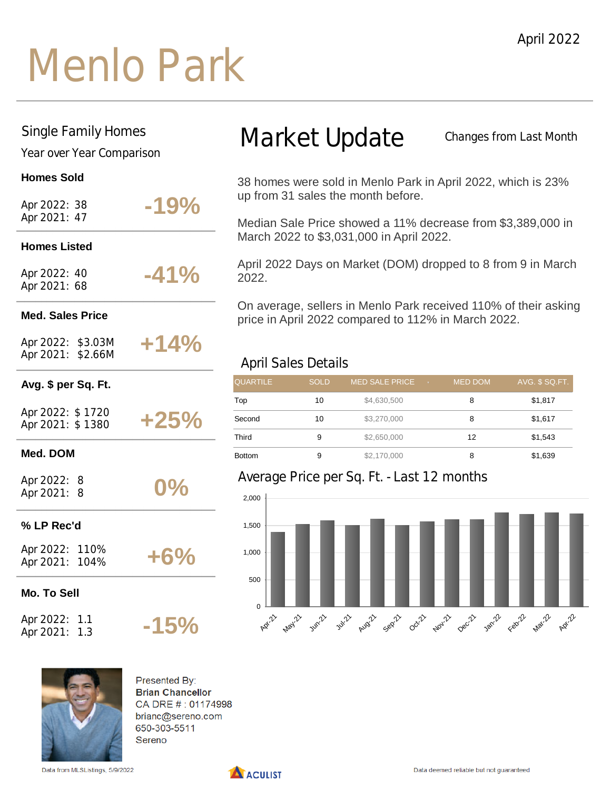## Menlo Park

#### Single Family Homes

Year over Year Comparison

#### **Homes Sold**

| Apr 2022: 38<br>Apr 2021: 47           |     | $-19%$ |
|----------------------------------------|-----|--------|
| <b>Homes Listed</b>                    |     |        |
| Apr 2022: 40<br>Apr 2021: 68           |     | $-41%$ |
| <b>Med. Sales Price</b>                |     |        |
| Apr 2022: \$3.03M<br>Apr 2021: \$2.66M |     | $+14%$ |
| Avg. \$ per Sq. Ft.                    |     |        |
| Apr 2022: \$1720<br>Apr 2021: \$1380   |     | $+25%$ |
| Med. DOM                               |     |        |
| Apr 2022: 8<br>Apr 2021: 8             |     | $0\%$  |
| % LP Rec'd                             |     |        |
| Apr 2022: 110%<br>Apr 2021: 104%       |     | $+6%$  |
| <b>Mo. To Sell</b>                     |     |        |
| Apr 2022: 1.1<br>Apr 2021:             | 1.3 | $-15%$ |

### Market Update

Changes from Last Month

38 homes were sold in Menlo Park in April 2022, which is 23% up from 31 sales the month before.

Median Sale Price showed a 11% decrease from \$3,389,000 in March 2022 to \$3,031,000 in April 2022.

April 2022 Days on Market (DOM) dropped to 8 from 9 in March 2022.

On average, sellers in Menlo Park received 110% of their asking price in April 2022 compared to 112% in March 2022.

#### April Sales Details

| <b>QUARTILE</b> | <b>SOLD</b> | <b>MED SALE PRICE</b><br>Liv. 1 | <b>MED DOM</b> | AVG. \$ SQ.FT. |
|-----------------|-------------|---------------------------------|----------------|----------------|
| Top             | 10          | \$4,630,500                     | 8              | \$1,817        |
| Second          | 10          | \$3,270,000                     | 8              | \$1,617        |
| Third           | 9           | \$2,650,000                     | 12             | \$1,543        |
| <b>Bottom</b>   | 9           | \$2,170,000                     | 8              | \$1,639        |

#### Average Price per Sq. Ft. - Last 12 months





Presented By: **Brian Chancellor** CA DRE #: 01174998 brianc@sereno.com 650-303-5511 Sereno

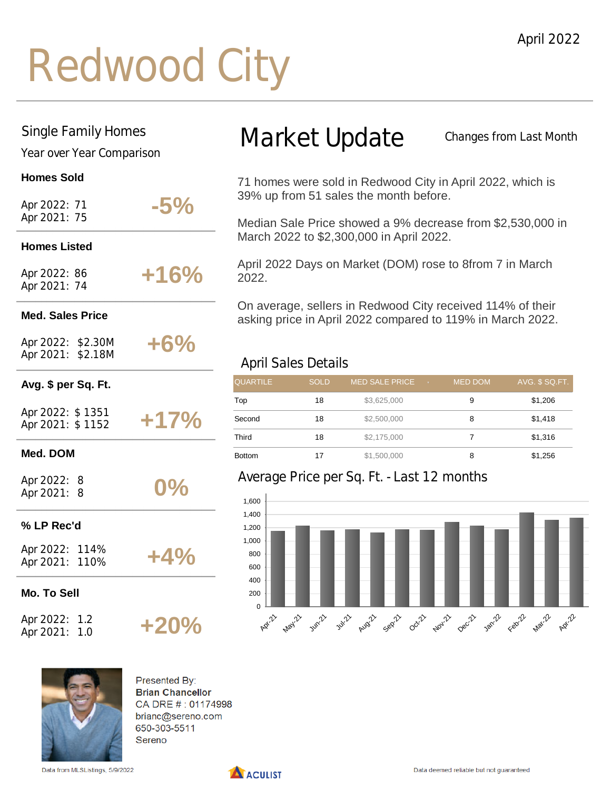## Redwood City

#### Single Family Homes

Year over Year Comparison

#### **Homes Sold**

| Apr 2022: 71                           | $-5\%$ |
|----------------------------------------|--------|
| Apr 2021: 75                           |        |
| <b>Homes Listed</b>                    |        |
| Apr 2022: 86<br>Apr 2021: 74           | $+16%$ |
| <b>Med. Sales Price</b>                |        |
| Apr 2022: \$2.30M<br>Apr 2021: \$2.18M | $+6%$  |
| Avg. \$ per Sq. Ft.                    |        |
| Apr 2022: \$1351<br>Apr 2021: \$1152   | $+17%$ |
| Med. DOM                               |        |
| Apr 2022: 8<br>Apr 2021: 8             | $0\%$  |
| % LP Rec'd                             |        |
| Apr 2022: 114%<br>Apr 2021: 110%       | $+4%$  |
| Mo. To Sell                            |        |

Apr 2022: 1.2 Apr 2021: 1.0

## Market Update

Changes from Last Month

71 homes were sold in Redwood City in April 2022, which is 39% up from 51 sales the month before.

Median Sale Price showed a 9% decrease from \$2,530,000 in March 2022 to \$2,300,000 in April 2022.

April 2022 Days on Market (DOM) rose to 8from 7 in March 2022.

On average, sellers in Redwood City received 114% of their asking price in April 2022 compared to 119% in March 2022.

#### April Sales Details

| <b>QUARTILE</b> | <b>SOLD</b> | <b>MED SALE PRICE</b><br>$-7$ | <b>MED DOM</b> | AVG. \$ SQ.FT. |
|-----------------|-------------|-------------------------------|----------------|----------------|
| Top             | 18          | \$3,625,000                   | 9              | \$1,206        |
| Second          | 18          | \$2,500,000                   | 8              | \$1,418        |
| Third           | 18          | \$2,175,000                   |                | \$1,316        |
| <b>Bottom</b>   | 17          | \$1,500,000                   | 8              | \$1,256        |

#### Average Price per Sq. Ft. - Last 12 months





Presented By: **Brian Chancellor** CA DRE #: 01174998 brianc@sereno.com 650-303-5511 Sereno

**+20%**

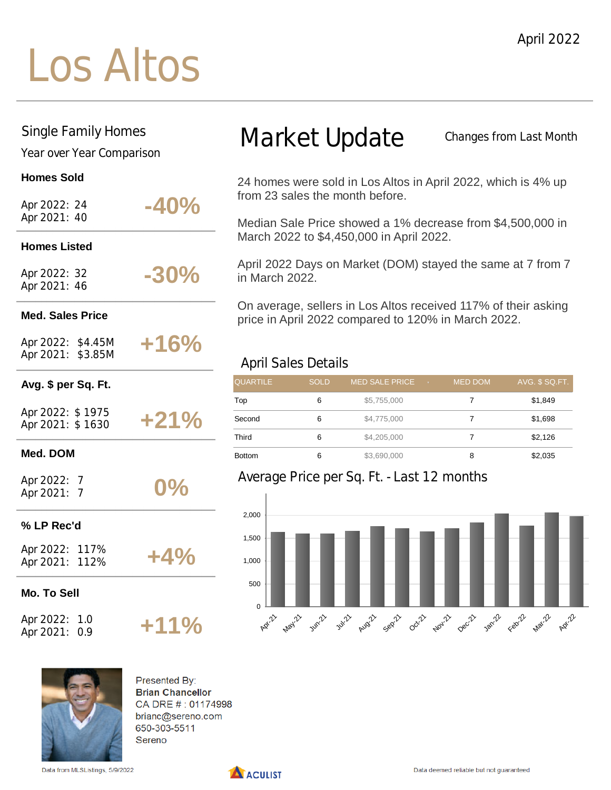## Los Altos

#### Single Family Homes

Year over Year Comparison

#### **Homes Sold**

| Apr 2022: 24 |  |
|--------------|--|
| Apr 2021: 40 |  |

### **-40% Homes Listed -30%**

Apr 2022: 32 Apr 2021: 46

#### **Med. Sales Price**

Apr 2022: \$4.45M Apr 2021: \$3.85M

## **+16%**

#### **Avg. \$ per Sq. Ft.**

| Apr 2022: \$1975 |        |  |
|------------------|--------|--|
| Apr 2021: \$1630 | $+21%$ |  |

#### **Med. DOM**

Apr 2022: 7 Apr 2021: 7

#### **% LP Rec'd**

Apr 2022: 117% Apr 2021: 112%

#### **Mo. To Sell**

Apr 2022: 1.0 Apr 2021: 0.9

### Market Update

Changes from Last Month

24 homes were sold in Los Altos in April 2022, which is 4% up from 23 sales the month before.

Median Sale Price showed a 1% decrease from \$4,500,000 in March 2022 to \$4,450,000 in April 2022.

April 2022 Days on Market (DOM) stayed the same at 7 from 7 in March 2022.

On average, sellers in Los Altos received 117% of their asking price in April 2022 compared to 120% in March 2022.

#### April Sales Details

| <b>QUARTILE</b> | <b>SOLD</b> | <b>MED SALE PRICE</b><br>$-7$ | <b>MED DOM</b> | AVG. \$ SQ.FT. |
|-----------------|-------------|-------------------------------|----------------|----------------|
| Top             | 6           | \$5,755,000                   |                | \$1,849        |
| Second          | 6           | \$4,775,000                   |                | \$1,698        |
| Third           | 6           | \$4,205,000                   |                | \$2,126        |
| <b>Bottom</b>   | 6           | \$3,690,000                   | 8              | \$2,035        |

#### Average Price per Sq. Ft. - Last 12 months





Presented By: **Brian Chancellor** CA DRE #: 01174998 brianc@sereno.com 650-303-5511 Sereno

**0%**

**+4%**

**+11%**

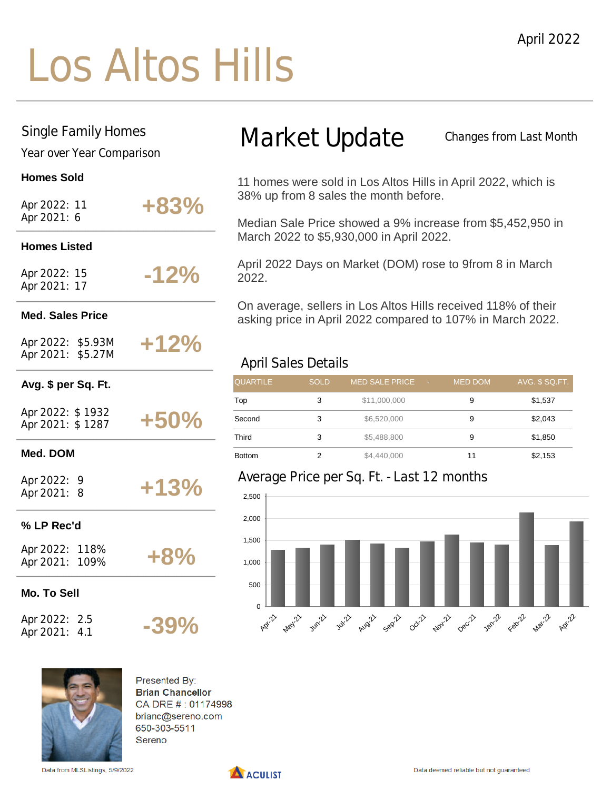## Los Altos Hills

#### Single Family Homes

Year over Year Comparison

#### **Homes Sold**

| Apr 2022: 11<br>Apr 2021: 6            | +83%    |
|----------------------------------------|---------|
| <b>Homes Listed</b>                    |         |
| Apr 2022: 15<br>Apr 2021: 17           | $-12%$  |
| <b>Med. Sales Price</b>                |         |
| Apr 2022: \$5.93M<br>Apr 2021: \$5.27M | $+12%$  |
| Avg. \$ per Sq. Ft.                    |         |
| Apr 2022: \$1932<br>Apr 2021: \$1287   | $+50%$  |
| Med. DOM                               |         |
| Apr 2022: 9<br>Apr 2021: 8             | $+13%$  |
| % LP Rec'd                             |         |
| Apr 2022: 118%<br>Apr 2021: 109%       | $+8%$   |
| <b>Mo. To Sell</b>                     |         |
| Apr 2022: 2.5<br>Apr 2021:<br>4.1      | $-39\%$ |

## Market Update

Changes from Last Month

11 homes were sold in Los Altos Hills in April 2022, which is 38% up from 8 sales the month before.

Median Sale Price showed a 9% increase from \$5,452,950 in March 2022 to \$5,930,000 in April 2022.

April 2022 Days on Market (DOM) rose to 9from 8 in March 2022.

On average, sellers in Los Altos Hills received 118% of their asking price in April 2022 compared to 107% in March 2022.

#### April Sales Details

| <b>QUARTILE</b> | <b>SOLD</b> | <b>MED SALE PRICE</b><br>$-7$ | <b>MED DOM</b> | AVG. \$ SQ.FT. |
|-----------------|-------------|-------------------------------|----------------|----------------|
| Top             | 3           | \$11,000,000                  | 9              | \$1,537        |
| Second          | 3           | \$6,520,000                   | 9              | \$2,043        |
| Third           | 3           | \$5,488,800                   | 9              | \$1,850        |
| <b>Bottom</b>   |             | \$4,440,000                   | 11             | \$2,153        |

#### Average Price per Sq. Ft. - Last 12 months





Presented By: **Brian Chancellor** CA DRE #: 01174998 brianc@sereno.com 650-303-5511 Sereno

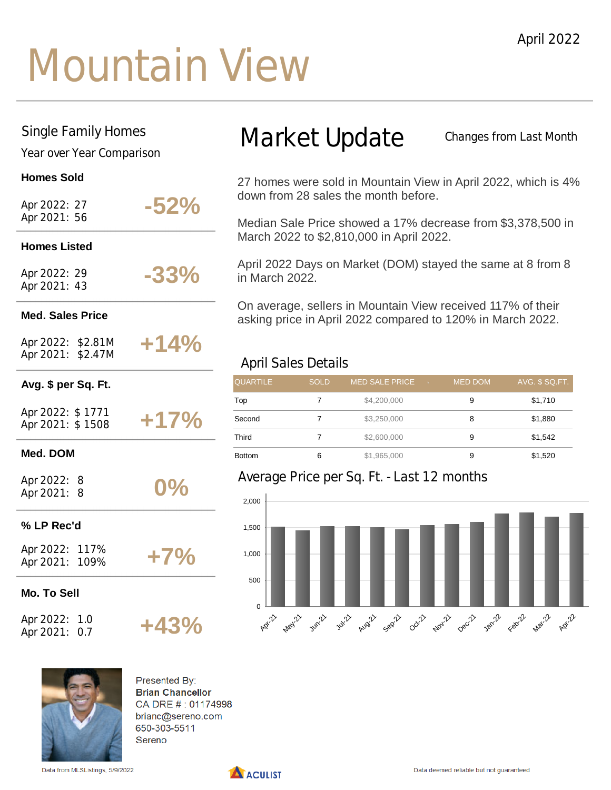## Mountain View

#### Single Family Homes

Year over Year Comparison

#### **Homes Sold**

| Apr 2022: 27 |  |
|--------------|--|
| Apr 2021: 56 |  |

## **-52% Homes Listed**

Apr 2022: 29 Apr 2021: 43

#### **Med. Sales Price**

Apr 2022: \$2.81M Apr 2021: \$2.47M

### **+14%**

**-33%**

#### **Avg. \$ per Sq. Ft.**

| Apr 2022: \$1771 |  |        |
|------------------|--|--------|
| Apr 2021: \$1508 |  | $+17%$ |

#### **Med. DOM**

Apr 2022: 8 Apr 2021: 8

#### **% LP Rec'd**

Apr 2022: 117% Apr 2021: 109% **+7%**

**+43%**

**0%**

#### **Mo. To Sell**

Apr 2022: 1.0 Apr 2021: 0.7

## Market Update

Changes from Last Month

27 homes were sold in Mountain View in April 2022, which is 4% down from 28 sales the month before.

Median Sale Price showed a 17% decrease from \$3,378,500 in March 2022 to \$2,810,000 in April 2022.

April 2022 Days on Market (DOM) stayed the same at 8 from 8 in March 2022.

On average, sellers in Mountain View received 117% of their asking price in April 2022 compared to 120% in March 2022.

#### April Sales Details

| <b>QUARTILE</b> | <b>SOLD</b> | <b>MED SALE PRICE</b><br>$\sqrt{7}$ | <b>MED DOM</b> | AVG. \$ SQ.FT. |
|-----------------|-------------|-------------------------------------|----------------|----------------|
| Top             |             | \$4,200,000                         | 9              | \$1,710        |
| Second          |             | \$3,250,000                         | 8              | \$1,880        |
| Third           |             | \$2,600,000                         | 9              | \$1,542        |
| <b>Bottom</b>   | 6           | \$1,965,000                         | 9              | \$1,520        |

#### Average Price per Sq. Ft. - Last 12 months





Presented By: **Brian Chancellor** CA DRE #: 01174998 brianc@sereno.com 650-303-5511 Sereno

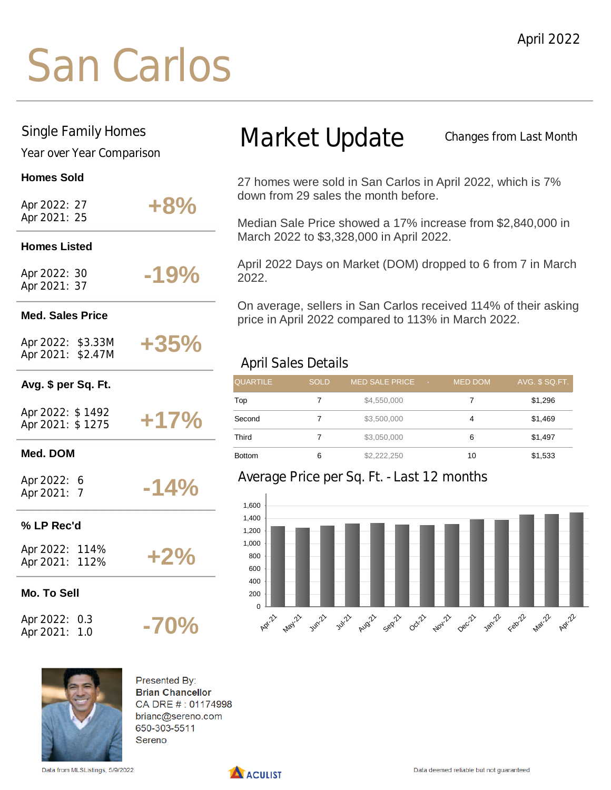## San Carlos

#### Single Family Homes

Year over Year Comparison

#### **Homes Sold**

| Apr 2022: 27<br>Apr 2021: 25           | $+8%$  |
|----------------------------------------|--------|
| <b>Homes Listed</b>                    |        |
| Apr 2022: 30<br>Apr 2021: 37           | $-19%$ |
| <b>Med. Sales Price</b>                |        |
| Apr 2022: \$3.33M<br>Apr 2021: \$2.47M | $+35%$ |
| Avg. \$ per Sq. Ft.                    |        |
| Apr 2022: \$1492<br>Apr 2021: \$1275   | $+17%$ |
| Med. DOM                               |        |
| Apr 2022: 6<br>Apr 2021: 7             | $-14%$ |
| % LP Rec'd                             |        |
| Apr 2022: 114%<br>Apr 2021: 112%       | $+2%$  |
| Mo. To Sell                            |        |

Apr 2022: 0.3 Apr 2021: 1.0

## Market Update

Changes from Last Month

27 homes were sold in San Carlos in April 2022, which is 7% down from 29 sales the month before.

Median Sale Price showed a 17% increase from \$2,840,000 in March 2022 to \$3,328,000 in April 2022.

April 2022 Days on Market (DOM) dropped to 6 from 7 in March 2022.

On average, sellers in San Carlos received 114% of their asking price in April 2022 compared to 113% in March 2022.

#### April Sales Details

| <b>QUARTILE</b> | <b>SOLD</b> | <b>MED SALE PRICE</b><br>$-7$ | <b>MED DOM</b> | AVG. \$ SQ.FT. |
|-----------------|-------------|-------------------------------|----------------|----------------|
| Top             |             | \$4,550,000                   |                | \$1,296        |
| Second          |             | \$3,500,000                   | 4              | \$1,469        |
| Third           |             | \$3,050,000                   | 6              | \$1,497        |
| <b>Bottom</b>   | 6           | \$2,222,250                   | 10             | \$1,533        |

#### Average Price per Sq. Ft. - Last 12 months





Presented By: **Brian Chancellor** CA DRE #: 01174998 brianc@sereno.com 650-303-5511 Sereno

**-70%**

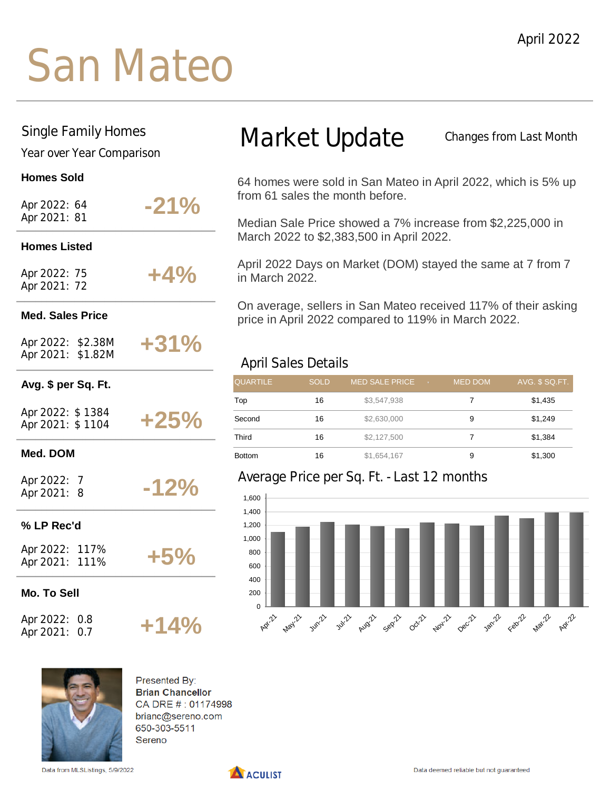## San Mateo

#### Single Family Homes

Year over Year Comparison

#### **Homes Sold**

Apr 2022: 64 Apr 2021: 81

**-21%**

#### **Homes Listed**

Apr 2022: 75 Apr 2021: 72 **+4%**

#### **Med. Sales Price**

Apr 2022: \$2.38M Apr 2021: \$1.82M

### **+31%**

**-12%**

**+14%**

#### **Avg. \$ per Sq. Ft.**

Apr 2022: \$ 1384 Apr 2021: \$ 1104 **+25%**

#### **Med. DOM**

Apr 2022: 7 Apr 2021: 8

#### **% LP Rec'd**

Apr 2022: 117% Apr 2021: 111%

**+5%**

#### **Mo. To Sell**

Apr 2022: 0.8 Apr 2021: 0.7

### Market Update

Changes from Last Month

64 homes were sold in San Mateo in April 2022, which is 5% up from 61 sales the month before.

Median Sale Price showed a 7% increase from \$2,225,000 in March 2022 to \$2,383,500 in April 2022.

April 2022 Days on Market (DOM) stayed the same at 7 from 7 in March 2022.

On average, sellers in San Mateo received 117% of their asking price in April 2022 compared to 119% in March 2022.

#### April Sales Details

| <b>QUARTILE</b> | <b>SOLD</b> | <b>MED SALE PRICE</b><br>$-7$ | <b>MED DOM</b> | AVG. \$ SQ.FT. |
|-----------------|-------------|-------------------------------|----------------|----------------|
| Top             | 16          | \$3,547,938                   |                | \$1,435        |
| Second          | 16          | \$2,630,000                   | 9              | \$1,249        |
| Third           | 16          | \$2,127,500                   |                | \$1,384        |
| <b>Bottom</b>   | 16          | \$1,654,167                   | 9              | \$1,300        |

#### Average Price per Sq. Ft. - Last 12 months





Presented By: **Brian Chancellor** CA DRE #: 01174998 brianc@sereno.com 650-303-5511 Sereno

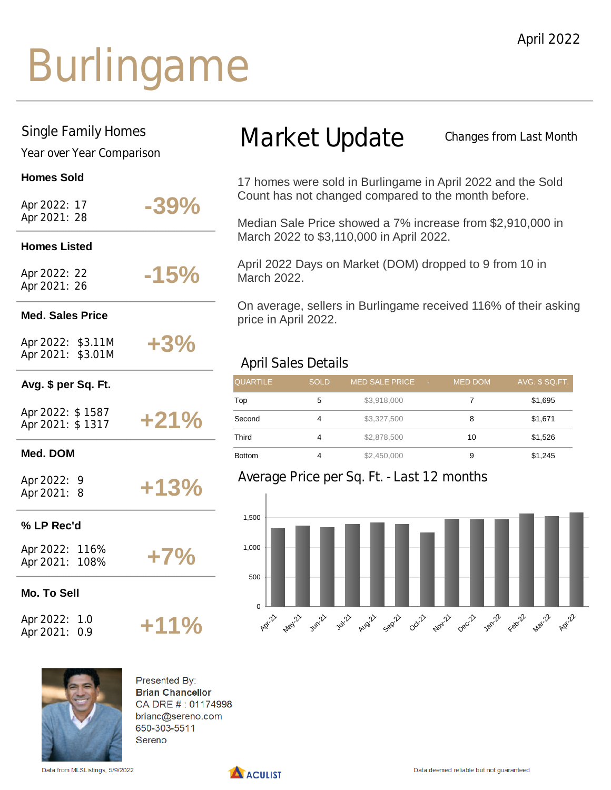## Burlingame

#### Single Family Homes

Year over Year Comparison

#### **Homes Sold**

| Apr 2022: 17<br>Apr 2021: 28           | $-39\%$ |
|----------------------------------------|---------|
| <b>Homes Listed</b>                    |         |
| Apr 2022: 22<br>Apr 2021: 26           | $-15%$  |
| <b>Med. Sales Price</b>                |         |
| Apr 2022: \$3.11M<br>Apr 2021: \$3.01M | $+3%$   |
| Avg. \$ per Sq. Ft.                    |         |
| Apr 2022: \$1587<br>Apr 2021: \$1317   | $+21%$  |
| Med. DOM                               |         |
| Apr 2022: 9<br>Apr 2021: 8             | $+13%$  |
| % LP Rec'd                             |         |
| Apr 2022: 116%<br>Apr 2021: 108%       | $+7%$   |
| Mo. To Sell                            |         |
| Apr 2022: 1.0<br>Apr 2021:<br>0.9      | $+11%$  |

### Market Update

Changes from Last Month

17 homes were sold in Burlingame in April 2022 and the Sold Count has not changed compared to the month before.

Median Sale Price showed a 7% increase from \$2,910,000 in March 2022 to \$3,110,000 in April 2022.

April 2022 Days on Market (DOM) dropped to 9 from 10 in March 2022.

On average, sellers in Burlingame received 116% of their asking price in April 2022.

#### April Sales Details

| <b>QUARTILE</b> | <b>SOLD</b> | <b>MED SALE PRICE</b><br>$-$ 70 $-$ | <b>MED DOM</b> | AVG. \$ SQ.FT. |
|-----------------|-------------|-------------------------------------|----------------|----------------|
| Top             | 5           | \$3,918,000                         |                | \$1,695        |
| Second          | 4           | \$3,327,500                         | 8              | \$1,671        |
| Third           | 4           | \$2,878,500                         | 10             | \$1,526        |
| <b>Bottom</b>   | 4           | \$2,450,000                         | 9              | \$1,245        |

#### Average Price per Sq. Ft. - Last 12 months





Presented By: **Brian Chancellor** CA DRE #: 01174998 brianc@sereno.com 650-303-5511 Sereno

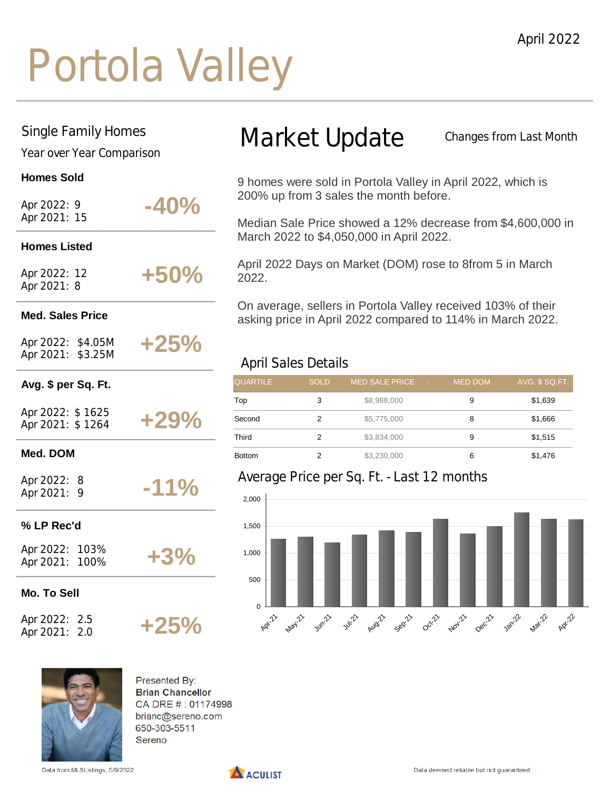## Portola Valley

#### Single Family Homes

Year over Year Comparison

#### **Homes Sold**

| Apr 2022: 9  |  |
|--------------|--|
| Apr 2021: 15 |  |

**Homes Listed**

## **-40%**

Apr 2022: 12 Apr 2021: 8 **+50%**

#### **Med. Sales Price**

Apr 2022: \$4.05M Apr 2021: \$3.25M

### **+25%**

#### **Avg. \$ per Sq. Ft.**

Apr 2022: \$ 1625 Apr 2021: \$ 1264 **+29%**

#### **Med. DOM**

Apr 2022: 8 Apr 2021: 9

#### **% LP Rec'd**

Apr 2022: 103% Apr 2021: 100% **+3%**

**+25%**

**-11%**

#### **Mo. To Sell**

Apr 2022: 2.5 Apr 2021: 2.0

## Presented By: **Brian Chancellor**

CA DRE #: 01174998 brianc@sereno.com 650-303-5511 Sereno

Data from MLSListings, 5/9/2022



## Market Update

Changes from Last Month

9 homes were sold in Portola Valley in April 2022, which is 200% up from 3 sales the month before.

Median Sale Price showed a 12% decrease from \$4,600,000 in March 2022 to \$4,050,000 in April 2022.

April 2022 Days on Market (DOM) rose to 8from 5 in March 2022.

On average, sellers in Portola Valley received 103% of their asking price in April 2022 compared to 114% in March 2022.

#### April Sales Details

| <b>QUARTILE</b> | <b>SOLD</b> | <b>MED SALE PRICE</b><br><b>TEV DE</b> | <b>MED DOM</b> | AVG. \$ SQ.FT. |
|-----------------|-------------|----------------------------------------|----------------|----------------|
| Top             | 3           | \$8,988,000                            | 9              | \$1,639        |
| Second          | 2           | \$5,775,000                            | 8              | \$1,666        |
| Third           | 2           | \$3,834,000                            | 9              | \$1,515        |
| <b>Bottom</b>   | 2           | \$3,230,000                            | 6              | \$1,476        |

#### Average Price per Sq. Ft. - Last 12 months

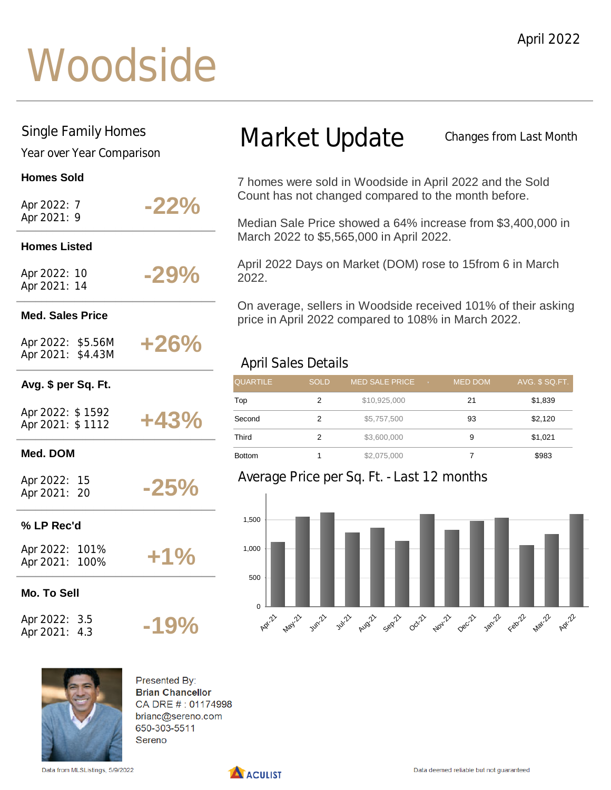## **Woodside**

#### Single Family Homes

Year over Year Comparison

#### **Homes Sold**

Apr 2022: 7 Apr 2021: 9

**-22%**

#### **Homes Listed**

Apr 2022: 10 Apr 2021: 14

**-29%**

#### **Med. Sales Price**

Apr 2022: \$5.56M Apr 2021: \$4.43M

### **+26%**

**-25%**

**-19%**

#### **Avg. \$ per Sq. Ft.**

Apr 2022: \$ 1592 Apr 2021: \$ 1112 **+43%**

#### **Med. DOM**

Apr 2022: 15 Apr 2021: 20

#### **% LP Rec'd**

Apr 2022: 101% Apr 2021: 100%

**+1%**

**Mo. To Sell**

Apr 2022: 3.5 Apr 2021: 4.3

## Market Update

Changes from Last Month

7 homes were sold in Woodside in April 2022 and the Sold Count has not changed compared to the month before.

Median Sale Price showed a 64% increase from \$3,400,000 in March 2022 to \$5,565,000 in April 2022.

April 2022 Days on Market (DOM) rose to 15from 6 in March 2022.

On average, sellers in Woodside received 101% of their asking price in April 2022 compared to 108% in March 2022.

#### April Sales Details

| <b>QUARTILE</b> | <b>SOLD</b> | <b>MED SALE PRICE</b><br>$-7$ | <b>MED DOM</b> | AVG. \$ SQ.FT. |
|-----------------|-------------|-------------------------------|----------------|----------------|
| Top             | 2           | \$10,925,000                  | 21             | \$1,839        |
| Second          | 2           | \$5,757,500                   | 93             | \$2,120        |
| Third           |             | \$3,600,000                   | 9              | \$1,021        |
| <b>Bottom</b>   |             | \$2,075,000                   |                | \$983          |

#### Average Price per Sq. Ft. - Last 12 months





Presented By: **Brian Chancellor** CA DRE #: 01174998 brianc@sereno.com 650-303-5511 Sereno